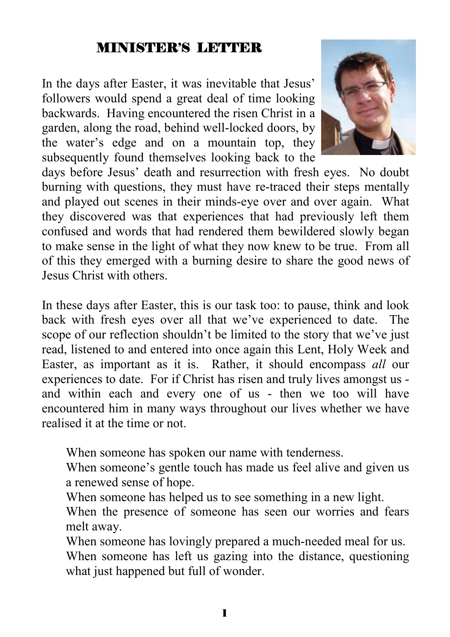# MINISTER'S LETTER

In the days after Easter, it was inevitable that Jesus' followers would spend a great deal of time looking backwards. Having encountered the risen Christ in a garden, along the road, behind well-locked doors, by the water's edge and on a mountain top, they subsequently found themselves looking back to the



days before Jesus' death and resurrection with fresh eyes. No doubt burning with questions, they must have re-traced their steps mentally and played out scenes in their minds-eye over and over again. What they discovered was that experiences that had previously left them confused and words that had rendered them bewildered slowly began to make sense in the light of what they now knew to be true. From all of this they emerged with a burning desire to share the good news of Jesus Christ with others.

In these days after Easter, this is our task too: to pause, think and look back with fresh eyes over all that we've experienced to date. The scope of our reflection shouldn't be limited to the story that we've just read, listened to and entered into once again this Lent, Holy Week and Easter, as important as it is. Rather, it should encompass *all* our experiences to date. For if Christ has risen and truly lives amongst us and within each and every one of us - then we too will have encountered him in many ways throughout our lives whether we have realised it at the time or not.

When someone has spoken our name with tenderness.

When someone's gentle touch has made us feel alive and given us a renewed sense of hope.

- When someone has helped us to see something in a new light.
- When the presence of someone has seen our worries and fears melt away.
- When someone has lovingly prepared a much-needed meal for us. When someone has left us gazing into the distance, questioning what just happened but full of wonder.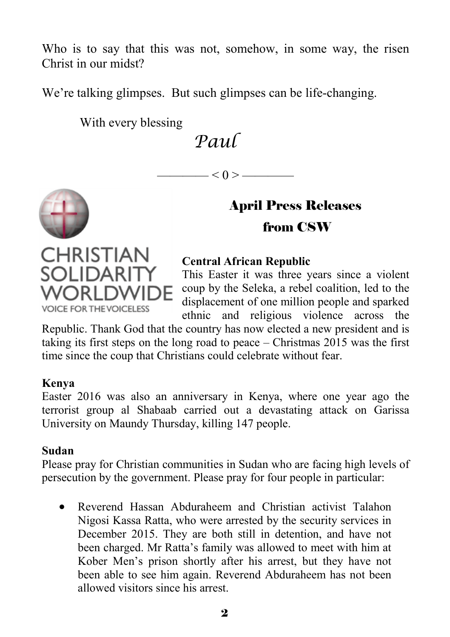Who is to say that this was not, somehow, in some way, the risen Christ in our midst?

We're talking glimpses. But such glimpses can be life-changing.

With every blessing

*Paul* 

 $\left| \alpha \right| < 0 \right| >$ 

# April Press Releases from CSW

# **CHRISTIAN Central African Republic SOLIDARIT**

**VOICE FOR THE VOICELESS** 

This Easter it was three years since a violent coup by the Seleka, a rebel coalition, led to the displacement of one million people and sparked ethnic and religious violence across the

Republic. Thank God that the country has now elected a new president and is taking its first steps on the long road to peace – Christmas 2015 was the first time since the coup that Christians could celebrate without fear.

#### **Kenya**

Easter 2016 was also an anniversary in Kenya, where one year ago the terrorist group al Shabaab carried out a devastating attack on Garissa University on Maundy Thursday, killing 147 people.

## **Sudan**

Please pray for Christian communities in Sudan who are facing high levels of persecution by the government. Please pray for four people in particular:

 Reverend Hassan Abduraheem and Christian activist Talahon Nigosi Kassa Ratta, who were arrested by the security services in December 2015. They are both still in detention, and have not been charged. Mr Ratta's family was allowed to meet with him at Kober Men's prison shortly after his arrest, but they have not been able to see him again. Reverend Abduraheem has not been allowed visitors since his arrest.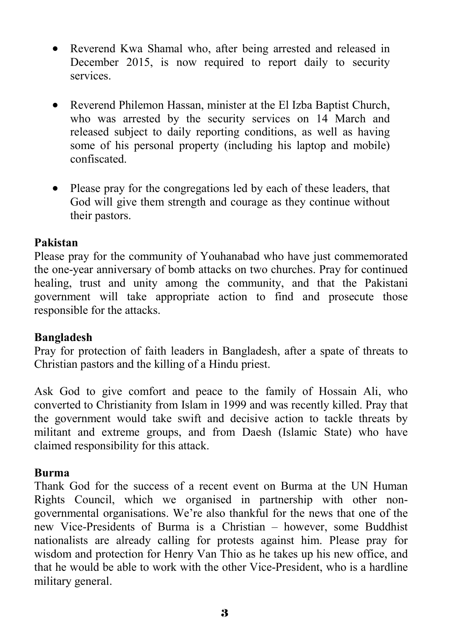- Reverend Kwa Shamal who, after being arrested and released in December 2015, is now required to report daily to security services.
- Reverend Philemon Hassan, minister at the El Izba Baptist Church, who was arrested by the security services on 14 March and released subject to daily reporting conditions, as well as having some of his personal property (including his laptop and mobile) confiscated.
- Please pray for the congregations led by each of these leaders, that God will give them strength and courage as they continue without their pastors.

#### **Pakistan**

Please pray for the community of Youhanabad who have just commemorated the one-year anniversary of bomb attacks on two churches. Pray for continued healing, trust and unity among the community, and that the Pakistani government will take appropriate action to find and prosecute those responsible for the attacks.

#### **Bangladesh**

Pray for protection of faith leaders in Bangladesh, after a spate of threats to Christian pastors and the killing of a Hindu priest.

Ask God to give comfort and peace to the family of Hossain Ali, who converted to Christianity from Islam in 1999 and was recently killed. Pray that the government would take swift and decisive action to tackle threats by militant and extreme groups, and from Daesh (Islamic State) who have claimed responsibility for this attack.

#### **Burma**

Thank God for the success of a recent event on Burma at the UN Human Rights Council, which we organised in partnership with other nongovernmental organisations. We're also thankful for the news that one of the new Vice-Presidents of Burma is a Christian – however, some Buddhist nationalists are already calling for protests against him. Please pray for wisdom and protection for Henry Van Thio as he takes up his new office, and that he would be able to work with the other Vice-President, who is a hardline military general.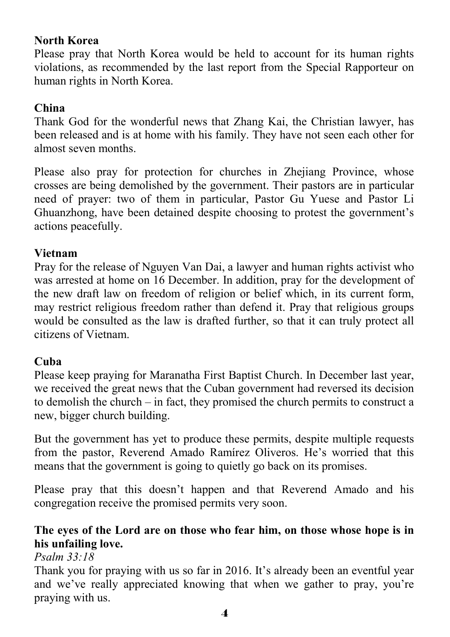## **North Korea**

Please pray that North Korea would be held to account for its human rights violations, as recommended by the last report from the Special Rapporteur on human rights in North Korea.

## **China**

Thank God for the wonderful news that Zhang Kai, the Christian lawyer, has been released and is at home with his family. They have not seen each other for almost seven months.

Please also pray for protection for churches in Zhejiang Province, whose crosses are being demolished by the government. Their pastors are in particular need of prayer: two of them in particular, Pastor Gu Yuese and Pastor Li Ghuanzhong, have been detained despite choosing to protest the government's actions peacefully.

#### **Vietnam**

Pray for the release of Nguyen Van Dai, a lawyer and human rights activist who was arrested at home on 16 December. In addition, pray for the development of the new draft law on freedom of religion or belief which, in its current form, may restrict religious freedom rather than defend it. Pray that religious groups would be consulted as the law is drafted further, so that it can truly protect all citizens of Vietnam.

#### **Cuba**

Please keep praying for Maranatha First Baptist Church. In December last year, we received the great news that the Cuban government had reversed its decision to demolish the church – in fact, they promised the church permits to construct a new, bigger church building.

But the government has yet to produce these permits, despite multiple requests from the pastor, Reverend Amado Ramírez Oliveros. He's worried that this means that the government is going to quietly go back on its promises.

Please pray that this doesn't happen and that Reverend Amado and his congregation receive the promised permits very soon.

# **The eyes of the Lord are on those who fear him, on those whose hope is in his unfailing love.**

*Psalm 33:18*

Thank you for praying with us so far in 2016. It's already been an eventful year and we've really appreciated knowing that when we gather to pray, you're praying with us.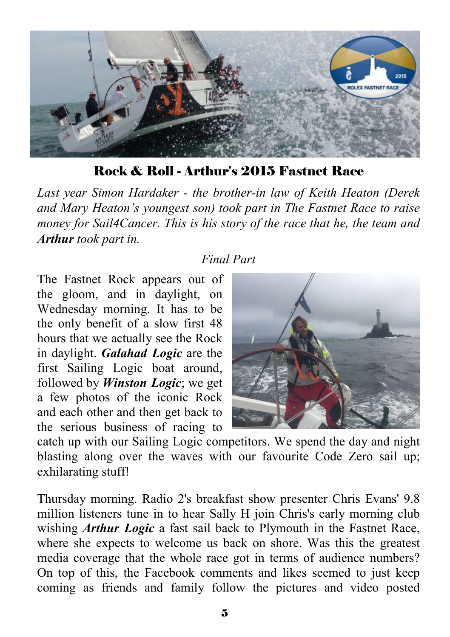

Rock & Roll - Arthur's 2015 Fastnet Race

*Last year Simon Hardaker - the brother-in law of Keith Heaton (Derek and Mary Heaton's youngest son) took part in The Fastnet Race to raise money for Sail4Cancer. This is his story of the race that he, the team and Arthur took part in.*

# *Final Part*

The Fastnet Rock appears out of the gloom, and in daylight, on Wednesday morning. It has to be the only benefit of a slow first 48 hours that we actually see the Rock in daylight. *Galahad Logic* are the first Sailing Logic boat around, followed by *Winston Logic*; we get a few photos of the iconic Rock and each other and then get back to the serious business of racing to



catch up with our Sailing Logic competitors. We spend the day and night blasting along over the waves with our favourite Code Zero sail up; exhilarating stuff!

Thursday morning. Radio 2's breakfast show presenter Chris Evans' 9.8 million listeners tune in to hear Sally H join Chris's early morning club wishing *Arthur Logic* a fast sail back to Plymouth in the Fastnet Race, where she expects to welcome us back on shore. Was this the greatest media coverage that the whole race got in terms of audience numbers? On top of this, the Facebook comments and likes seemed to just keep coming as friends and family follow the pictures and video posted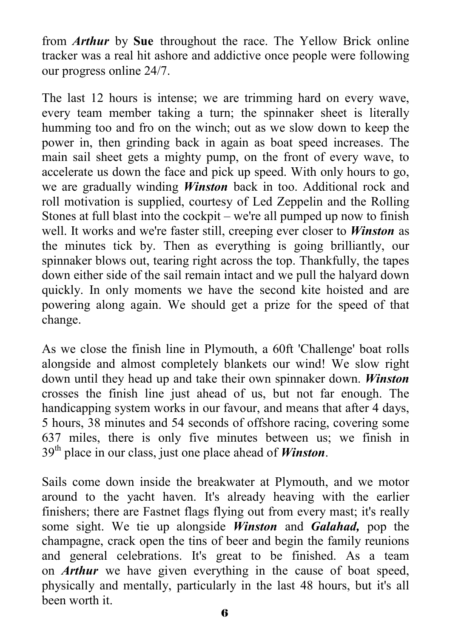from *Arthur* by **Sue** throughout the race. The Yellow Brick online tracker was a real hit ashore and addictive once people were following our progress online 24/7.

The last 12 hours is intense; we are trimming hard on every wave, every team member taking a turn; the spinnaker sheet is literally humming too and fro on the winch; out as we slow down to keep the power in, then grinding back in again as boat speed increases. The main sail sheet gets a mighty pump, on the front of every wave, to accelerate us down the face and pick up speed. With only hours to go, we are gradually winding *Winston* back in too. Additional rock and roll motivation is supplied, courtesy of Led Zeppelin and the Rolling Stones at full blast into the cockpit – we're all pumped up now to finish well. It works and we're faster still, creeping ever closer to *Winston* as the minutes tick by. Then as everything is going brilliantly, our spinnaker blows out, tearing right across the top. Thankfully, the tapes down either side of the sail remain intact and we pull the halyard down quickly. In only moments we have the second kite hoisted and are powering along again. We should get a prize for the speed of that change.

As we close the finish line in Plymouth, a 60ft 'Challenge' boat rolls alongside and almost completely blankets our wind! We slow right down until they head up and take their own spinnaker down. *Winston*  crosses the finish line just ahead of us, but not far enough. The handicapping system works in our favour, and means that after 4 days, 5 hours, 38 minutes and 54 seconds of offshore racing, covering some 637 miles, there is only five minutes between us; we finish in 39th place in our class, just one place ahead of *Winston*.

Sails come down inside the breakwater at Plymouth, and we motor around to the yacht haven. It's already heaving with the earlier finishers; there are Fastnet flags flying out from every mast; it's really some sight. We tie up alongside *Winston* and *Galahad,* pop the champagne, crack open the tins of beer and begin the family reunions and general celebrations. It's great to be finished. As a team on *Arthur* we have given everything in the cause of boat speed, physically and mentally, particularly in the last 48 hours, but it's all been worth it.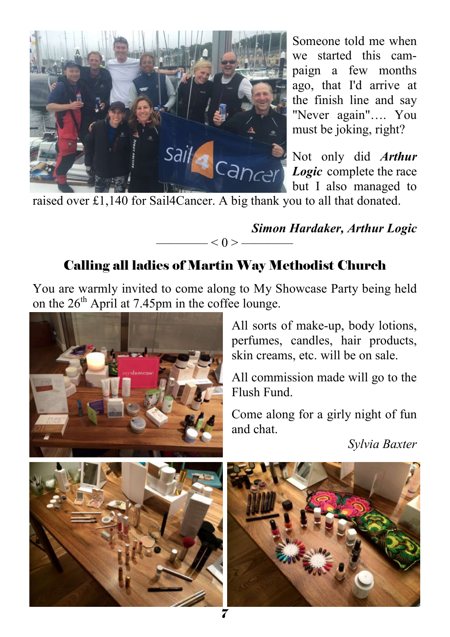

Someone told me when we started this campaign a few months ago, that I'd arrive at the finish line and say "Never again"…. You must be joking, right?

Not only did *Arthur Logic* complete the race but I also managed to

raised over £1,140 for Sail4Cancer. A big thank you to all that donated.

*Simon Hardaker, Arthur Logic*  $< 0 > -$ 

# Calling all ladies of Martin Way Methodist Church

You are warmly invited to come along to My Showcase Party being held on the 26<sup>th</sup> April at 7.45pm in the coffee lounge.



All sorts of make-up, body lotions, perfumes, candles, hair products, skin creams, etc. will be on sale.

All commission made will go to the Flush Fund.

Come along for a girly night of fun and chat.

*Sylvia Baxter*



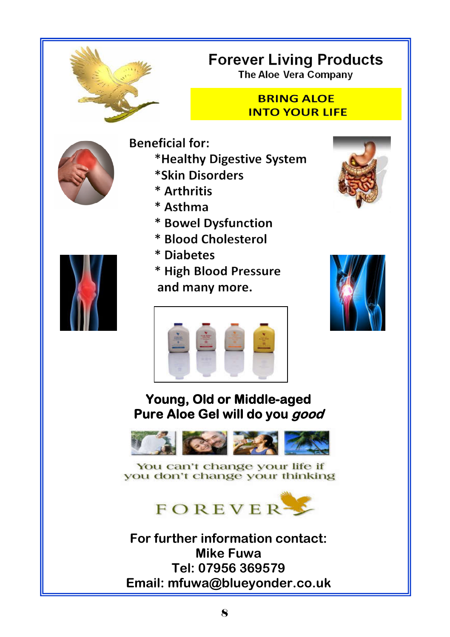

# **Forever Living Products**

**The Aloe Vera Company** 

## **BRING ALOE INTO YOUR LIFF**



- **Beneficial for:** \*Healthy Digestive System \*Skin Disorders
	- \* Arthritis
	- \* Asthma
	- \* Bowel Dysfunction
	- \* Blood Cholesterol
	- \* Diabetes
	- \* High Blood Pressure and many more.







# **Young, Old or Middle-aged Pure Aloe Gel will do you good**



You can't change your life if you don't change your thinking



**For further information contact: Mike Fuwa Tel: 07956 369579 Email: mfuwa@blueyonder.co.uk** 

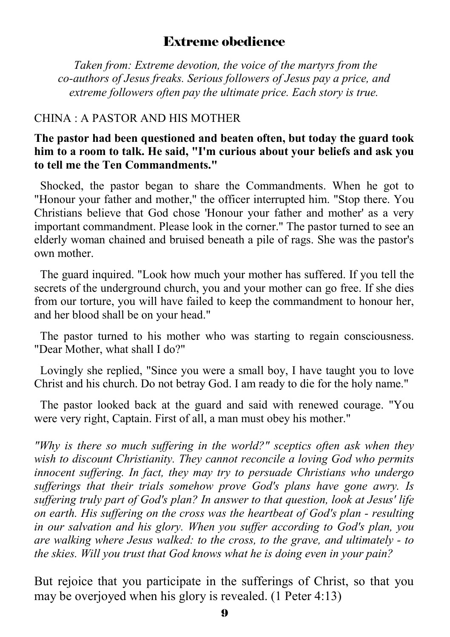# Extreme obedience

 *Taken from: Extreme devotion, the voice of the martyrs from the co-authors of Jesus freaks. Serious followers of Jesus pay a price, and extreme followers often pay the ultimate price. Each story is true.*

## CHINA : A PASTOR AND HIS MOTHER

#### **The pastor had been questioned and beaten often, but today the guard took him to a room to talk. He said, "I'm curious about your beliefs and ask you to tell me the Ten Commandments."**

 Shocked, the pastor began to share the Commandments. When he got to "Honour your father and mother," the officer interrupted him. "Stop there. You Christians believe that God chose 'Honour your father and mother' as a very important commandment. Please look in the corner." The pastor turned to see an elderly woman chained and bruised beneath a pile of rags. She was the pastor's own mother.

 The guard inquired. "Look how much your mother has suffered. If you tell the secrets of the underground church, you and your mother can go free. If she dies from our torture, you will have failed to keep the commandment to honour her, and her blood shall be on your head."

 The pastor turned to his mother who was starting to regain consciousness. "Dear Mother, what shall I do?"

 Lovingly she replied, "Since you were a small boy, I have taught you to love Christ and his church. Do not betray God. I am ready to die for the holy name."

 The pastor looked back at the guard and said with renewed courage. "You were very right, Captain. First of all, a man must obey his mother."

*"Why is there so much suffering in the world?" sceptics often ask when they wish to discount Christianity. They cannot reconcile a loving God who permits innocent suffering. In fact, they may try to persuade Christians who undergo sufferings that their trials somehow prove God's plans have gone awry. Is suffering truly part of God's plan? In answer to that question, look at Jesus' life on earth. His suffering on the cross was the heartbeat of God's plan - resulting in our salvation and his glory. When you suffer according to God's plan, you are walking where Jesus walked: to the cross, to the grave, and ultimately - to the skies. Will you trust that God knows what he is doing even in your pain?* 

But rejoice that you participate in the sufferings of Christ, so that you may be overjoyed when his glory is revealed. (1 Peter 4:13)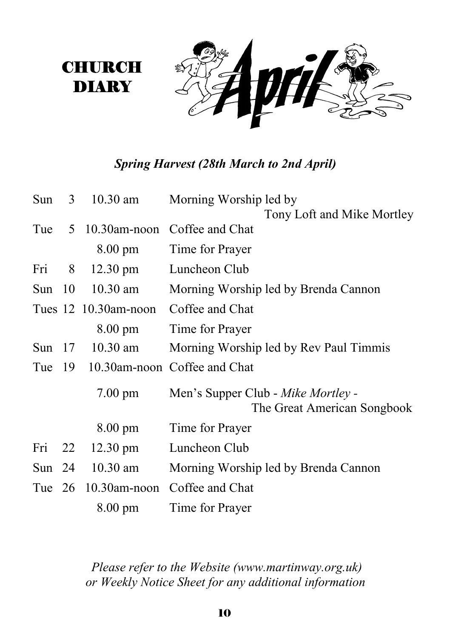# *Spring Harvest (28th March to 2nd April)*

**CHURCH** DIARY

| Sun      | 3 <sup>7</sup> | $10.30$ am            | Morning Worship led by                                            |
|----------|----------------|-----------------------|-------------------------------------------------------------------|
|          |                |                       | Tony Loft and Mike Mortley                                        |
| Tue      | 5 <sup>5</sup> | $10.30$ am-noon       | Coffee and Chat                                                   |
|          |                | $8.00 \text{ pm}$     | Time for Prayer                                                   |
| Fri      | 8 <sup>8</sup> | $12.30 \text{ pm}$    | Luncheon Club                                                     |
| Sun $10$ |                | $10.30$ am            | Morning Worship led by Brenda Cannon                              |
|          |                | Tues 12 10.30am-noon  | Coffee and Chat                                                   |
|          |                | $8.00 \text{ pm}$     | Time for Prayer                                                   |
| Sun $17$ |                | $10.30$ am            | Morning Worship led by Rev Paul Timmis                            |
|          |                |                       | Tue 19 10.30am-noon Coffee and Chat                               |
|          |                | $7.00 \text{ pm}$     | Men's Supper Club - Mike Mortley -<br>The Great American Songbook |
|          |                | $8.00 \text{ pm}$     | Time for Prayer                                                   |
| Fri 22   |                | $12.30 \text{ pm}$    | Luncheon Club                                                     |
| Sun $24$ |                | $10.30$ am            | Morning Worship led by Brenda Cannon                              |
|          |                | Tue $26$ 10.30am-noon | Coffee and Chat                                                   |
|          |                | $8.00 \text{ pm}$     | Time for Prayer                                                   |

*Please refer to the Website (www.martinway.org.uk) or Weekly Notice Sheet for any additional information*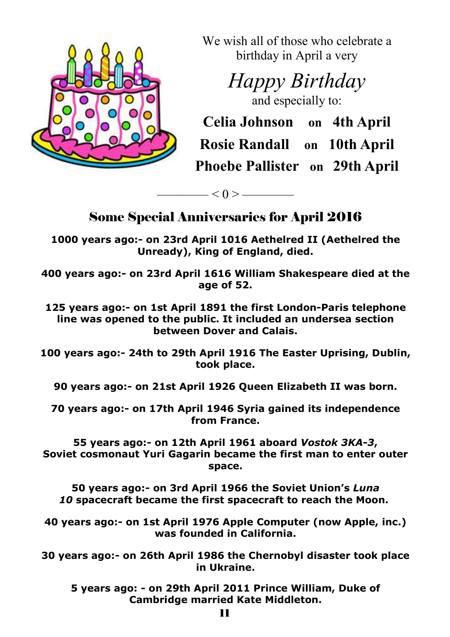

We wish all of those who celebrate a birthday in April a very

> *Happy Birthday* and especially to:

**Celia Johnson on 4th April**

**Rosie Randall on 10th April Phoebe Pallister on 29th April**

Some Special Anniversaries for April 2016

 $< 0 >$  —————

**1000 years ago:- on 23rd April 1016 Aethelred II (Aethelred the Unready), King of England, died.**

**400 years ago:- on 23rd April 1616 William Shakespeare died at the age of 52.**

**125 years ago:- on 1st April 1891 the first London-Paris telephone line was opened to the public. It included an undersea section between Dover and Calais.**

**100 years ago:- 24th to 29th April 1916 The Easter Uprising, Dublin, took place.**

**90 years ago:- on 21st April 1926 Queen Elizabeth II was born.**

**70 years ago:- on 17th April 1946 Syria gained its independence from France.**

**55 years ago:- on 12th April 1961 aboard** *Vostok 3KA-3***, Soviet cosmonaut Yuri Gagarin became the first man to enter outer space.** 

**50 years ago:- on 3rd April 1966 the Soviet Union's** *Luna 10* **spacecraft became the first spacecraft to reach the Moon.**

**40 years ago:- on 1st April 1976 Apple Computer (now Apple, inc.) was founded in California.**

**30 years ago:- on 26th April 1986 the Chernobyl disaster took place in Ukraine.**

**5 years ago: - on 29th April 2011 Prince William, Duke of Cambridge married Kate Middleton.**